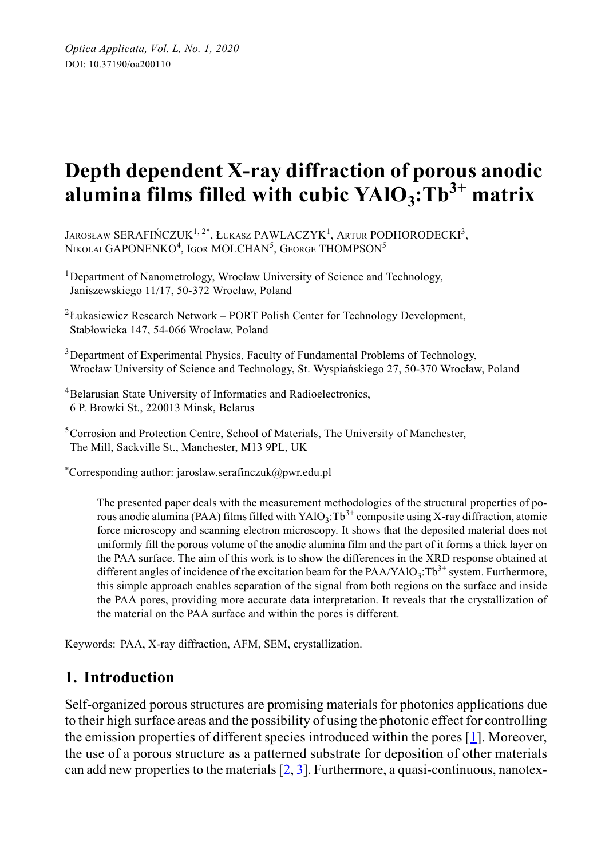# **Depth dependent X-ray diffraction of porous anodic alumina films filled with cubic YAlO3:Tb3+ matrix**

JAROSŁAW SERAFIŃCZUK<sup>1, 2\*</sup>, ŁUKASZ PAWLACZYK<sup>1</sup>, Artur PODHORODECKI<sup>3</sup>, Nikolai GAPONENKO<sup>4</sup>, Igor MOLCHAN<sup>5</sup>, George THOMPSON<sup>5</sup>

<sup>1</sup>Department of Nanometrology, Wrocław University of Science and Technology, Janiszewskiego 11/17, 50-372 Wrocław, Poland

<sup>2</sup> Łukasiewicz Research Network – PORT Polish Center for Technology Development, Stabłowicka 147, 54-066 Wrocław, Poland

 $3$ Department of Experimental Physics, Faculty of Fundamental Problems of Technology, Wrocław University of Science and Technology, St. Wyspiańskiego 27, 50-370 Wrocław, Poland

<sup>4</sup>Belarusian State University of Informatics and Radioelectronics, 6 P. Browki St., 220013 Minsk, Belarus

<sup>5</sup>Corrosion and Protection Centre, School of Materials, The University of Manchester, The Mill, Sackville St., Manchester, M13 9PL, UK

\*Corresponding author: jaroslaw.serafinczuk@pwr.edu.pl

The presented paper deals with the measurement methodologies of the structural properties of porous anodic alumina (PAA) films filled with  $YAO_3$ :Tb<sup>3+</sup> composite using X-ray diffraction, atomic force microscopy and scanning electron microscopy. It shows that the deposited material does not uniformly fill the porous volume of the anodic alumina film and the part of it forms a thick layer on the PAA surface. The aim of this work is to show the differences in the XRD response obtained at different angles of incidence of the excitation beam for the  $PAA/YAO_3$ :Tb<sup>3+</sup> system. Furthermore, this simple approach enables separation of the signal from both regions on the surface and inside the PAA pores, providing more accurate data interpretation. It reveals that the crystallization of the material on the PAA surface and within the pores is different.

Keywords: PAA, X-ray diffraction, AFM, SEM, crystallization.

## **1. Introduction**

Self-organized porous structures are promising materials for photonics applications due to their high surface areas and the possibility of using the photonic effect for controlling the emission properties of different species introduced within the pores  $[1]$ . Moreover, the use of a porous structure as a patterned substrate for deposition of other materials can add new properties to the materials  $[2, 3]$  $[2, 3]$  $[2, 3]$  $[2, 3]$ . Furthermore, a quasi-continuous, nanotex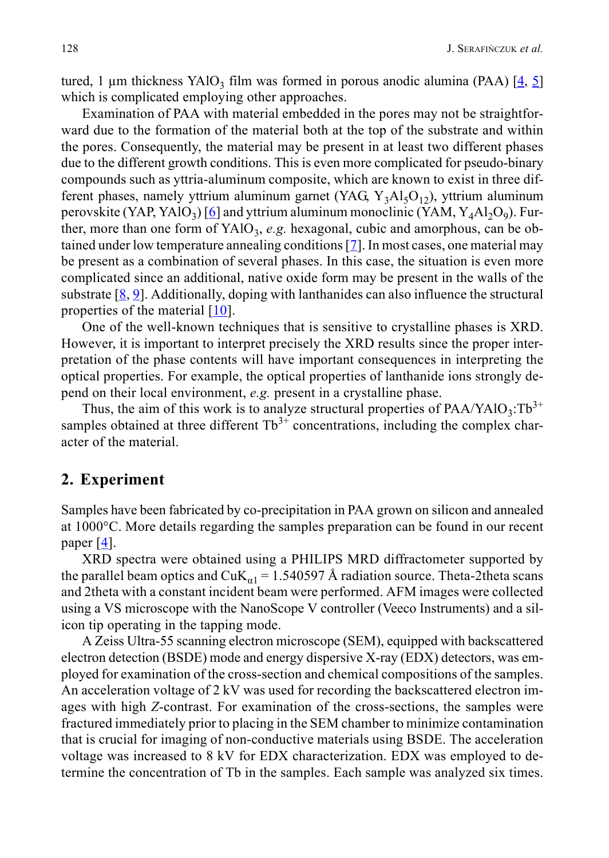tured, 1 µm thickness YAlO<sub>3</sub> film was formed in porous anodic alumina (PAA)  $[4, 5]$  $[4, 5]$  $[4, 5]$  $[4, 5]$ which is complicated employing other approaches.

Examination of PAA with material embedded in the pores may not be straightforward due to the formation of the material both at the top of the substrate and within the pores. Consequently, the material may be present in at least two different phases due to the different growth conditions. This is even more complicated for pseudo-binary compounds such as yttria-aluminum composite, which are known to exist in three different phases, namely yttrium aluminum garnet (YAG,  $Y_3AI_5O_{12}$ ), yttrium aluminum perovskite (YAP, YAlO<sub>3</sub>) [\[6](#page-7-0)] and yttrium aluminum monoclinic (YAM, Y<sub>4</sub>Al<sub>2</sub>O<sub>9</sub>). Further, more than one form of  $YAIO_3$ , *e.g.* hexagonal, cubic and amorphous, can be obtained under low temperature annealing conditions  $[7]$ . In most cases, one material may be present as a combination of several phases. In this case, the situation is even more complicated since an additional, native oxide form may be present in the walls of the substrate  $[8, 9]$  $[8, 9]$  $[8, 9]$ . Additionally, doping with lanthanides can also influence the structural properties of the material [[10\]](#page-7-4).

One of the well-known techniques that is sensitive to crystalline phases is XRD. However, it is important to interpret precisely the XRD results since the proper interpretation of the phase contents will have important consequences in interpreting the optical properties. For example, the optical properties of lanthanide ions strongly depend on their local environment, *e.g.* present in a crystalline phase.

Thus, the aim of this work is to analyze structural properties of  $PAA/YAIO<sub>3</sub>:Tb<sup>3+</sup>$ samples obtained at three different  $Tb^{3+}$  concentrations, including the complex character of the material.

### **2. Experiment**

Samples have been fabricated by co-precipitation in PAA grown on silicon and annealed at 1000°C. More details regarding the samples preparation can be found in our recent paper  $[4]$  $[4]$ .

XRD spectra were obtained using a PHILIPS MRD diffractometer supported by the parallel beam optics and CuK<sub>a1</sub> = 1.540597 Å radiation source. Theta-2theta scans and 2theta with a constant incident beam were performed. AFM images were collected using a VS microscope with the NanoScope V controller (Veeco Instruments) and a silicon tip operating in the tapping mode.

A Zeiss Ultra-55 scanning electron microscope (SEM), equipped with backscattered electron detection (BSDE) mode and energy dispersive X-ray (EDX) detectors, was employed for examination of the cross-section and chemical compositions of the samples. An acceleration voltage of 2 kV was used for recording the backscattered electron images with high *Z*-contrast. For examination of the cross-sections, the samples were fractured immediately prior to placing in the SEM chamber to minimize contamination that is crucial for imaging of non-conductive materials using BSDE. The acceleration voltage was increased to 8 kV for EDX characterization. EDX was employed to determine the concentration of Tb in the samples. Each sample was analyzed six times.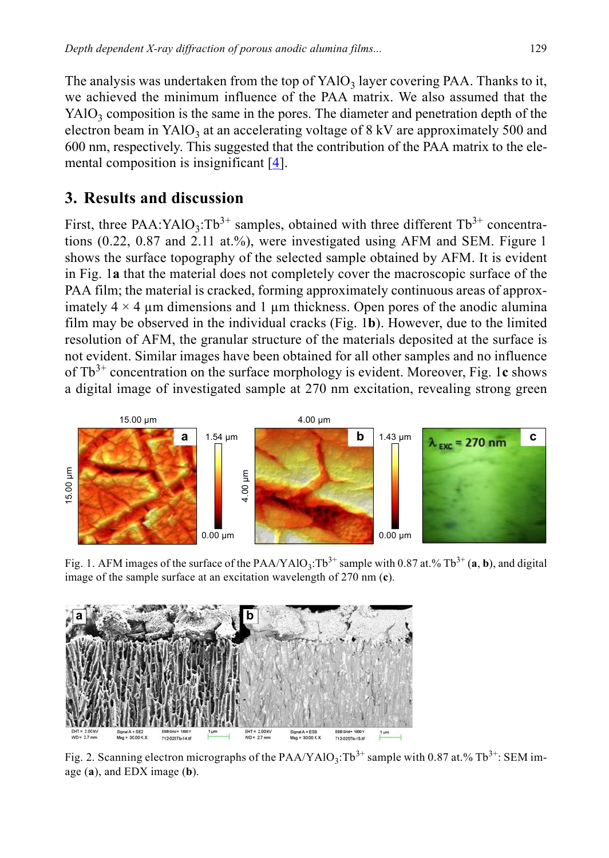The analysis was undertaken from the top of  $YAIO_3$  layer covering PAA. Thanks to it, we achieved the minimum influence of the PAA matrix. We also assumed that the  $YAIO<sub>3</sub>$  composition is the same in the pores. The diameter and penetration depth of the electron beam in YAlO<sub>3</sub> at an accelerating voltage of 8 kV are approximately 500 and 600 nm, respectively. This suggested that the contribution of the PAA matrix to the elemental composition is insignificant  $[4]$  $[4]$ .

## **3. Results and discussion**

First, three PAA:YAlO<sub>3</sub>:Tb<sup>3+</sup> samples, obtained with three different Tb<sup>3+</sup> concentrations (0.22, 0.87 and 2.11 at.%), were investigated using AFM and SEM. Figure 1 shows the surface topography of the selected sample obtained by AFM. It is evident in Fig. 1**a** that the material does not completely cover the macroscopic surface of the PAA film; the material is cracked, forming approximately continuous areas of approximately  $4 \times 4$  µm dimensions and 1 µm thickness. Open pores of the anodic alumina film may be observed in the individual cracks (Fig. 1**b**). However, due to the limited resolution of AFM, the granular structure of the materials deposited at the surface is not evident. Similar images have been obtained for all other samples and no influence of Tb3+ concentration on the surface morphology is evident. Moreover, Fig. 1**c** shows a digital image of investigated sample at 270 nm excitation, revealing strong green



Fig. 1. AFM images of the surface of the PAA/YAlO<sub>3</sub>:Tb<sup>3+</sup> sample with 0.87 at.% Tb<sup>3+</sup> (a, b), and digital image of the sample surface at an excitation wavelength of 270 nm (**c**).



Fig. 2. Scanning electron micrographs of the PAA/YAlO<sub>3</sub>:Tb<sup>3+</sup> sample with 0.87 at.% Tb<sup>3+</sup>: SEM image (**a**), and EDX image (**b**).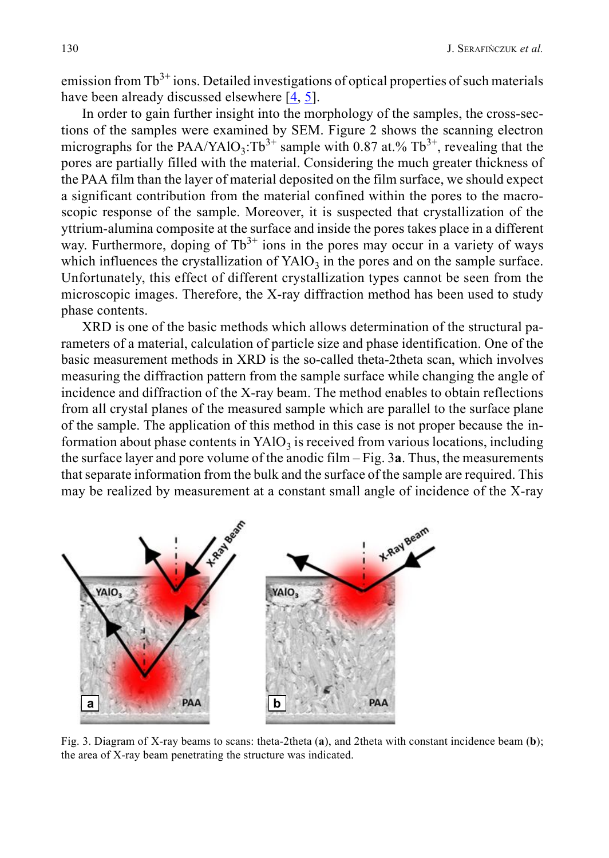emission from  $Tb^{3+}$  ions. Detailed investigations of optical properties of such materials have been already discussed elsewhere [[4,](#page-6-3) [5\]](#page-6-4).

In order to gain further insight into the morphology of the samples, the cross-sections of the samples were examined by SEM. Figure 2 shows the scanning electron micrographs for the PAA/YAlO<sub>3</sub>:Tb<sup>3+</sup> sample with 0.87 at.% Tb<sup>3+</sup>, revealing that the pores are partially filled with the material. Considering the much greater thickness of the PAA film than the layer of material deposited on the film surface, we should expect a significant contribution from the material confined within the pores to the macroscopic response of the sample. Moreover, it is suspected that crystallization of the yttrium-alumina composite at the surface and inside the pores takes place in a different way. Furthermore, doping of  $Tb^{3+}$  ions in the pores may occur in a variety of ways which influences the crystallization of  $YAO<sub>3</sub>$  in the pores and on the sample surface. Unfortunately, this effect of different crystallization types cannot be seen from the microscopic images. Therefore, the X-ray diffraction method has been used to study phase contents.

XRD is one of the basic methods which allows determination of the structural parameters of a material, calculation of particle size and phase identification. One of the basic measurement methods in XRD is the so-called theta-2theta scan, which involves measuring the diffraction pattern from the sample surface while changing the angle of incidence and diffraction of the X-ray beam. The method enables to obtain reflections from all crystal planes of the measured sample which are parallel to the surface plane of the sample. The application of this method in this case is not proper because the information about phase contents in  $YAO<sub>3</sub>$  is received from various locations, including the surface layer and pore volume of the anodic film – Fig. 3**a**. Thus, the measurements that separate information from the bulk and the surface of the sample are required. This may be realized by measurement at a constant small angle of incidence of the X-ray



Fig. 3. Diagram of X-ray beams to scans: theta-2theta (**a**), and 2theta with constant incidence beam (**b**); the area of X-ray beam penetrating the structure was indicated.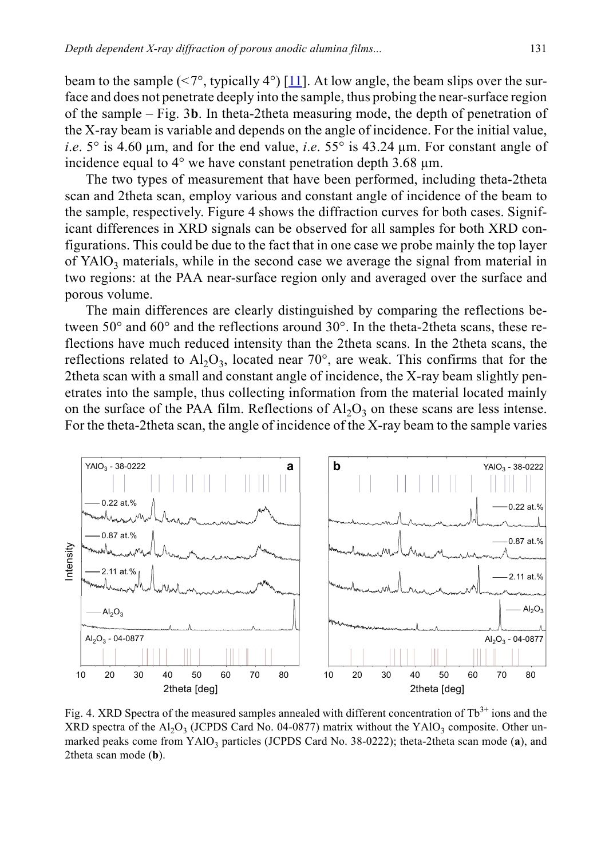beam to the sample  $(\leq 7^{\circ},$  typically 4°) [[11](#page-7-5)]. At low angle, the beam slips over the surface and does not penetrate deeply into the sample, thus probing the near-surface region of the sample – Fig. 3**b**. In theta-2theta measuring mode, the depth of penetration of the X-ray beam is variable and depends on the angle of incidence. For the initial value, *i*.*e*. 5° is 4.60 µm, and for the end value, *i*.*e*. 55° is 43.24 µm. For constant angle of incidence equal to  $4^{\circ}$  we have constant penetration depth 3.68  $\mu$ m.

The two types of measurement that have been performed, including theta-2theta scan and 2theta scan, employ various and constant angle of incidence of the beam to the sample, respectively. Figure 4 shows the diffraction curves for both cases. Significant differences in XRD signals can be observed for all samples for both XRD configurations. This could be due to the fact that in one case we probe mainly the top layer of  $YAO<sub>3</sub>$  materials, while in the second case we average the signal from material in two regions: at the PAA near-surface region only and averaged over the surface and porous volume.

The main differences are clearly distinguished by comparing the reflections between 50 $^{\circ}$  and 60 $^{\circ}$  and the reflections around 30 $^{\circ}$ . In the theta-2theta scans, these reflections have much reduced intensity than the 2theta scans. In the 2theta scans, the reflections related to  $A1_2O_3$ , located near 70°, are weak. This confirms that for the 2theta scan with a small and constant angle of incidence, the X-ray beam slightly penetrates into the sample, thus collecting information from the material located mainly on the surface of the PAA film. Reflections of  $A<sub>1</sub>O<sub>3</sub>$  on these scans are less intense. For the theta-2theta scan, the angle of incidence of the X-ray beam to the sample varies



Fig. 4. XRD Spectra of the measured samples annealed with different concentration of Tb<sup>3+</sup> ions and the XRD spectra of the  $A1_2O_3$  (JCPDS Card No. 04-0877) matrix without the YAlO<sub>3</sub> composite. Other unmarked peaks come from  $YAO_3$  particles (JCPDS Card No. 38-0222); theta-2theta scan mode (a), and 2theta scan mode (**b**).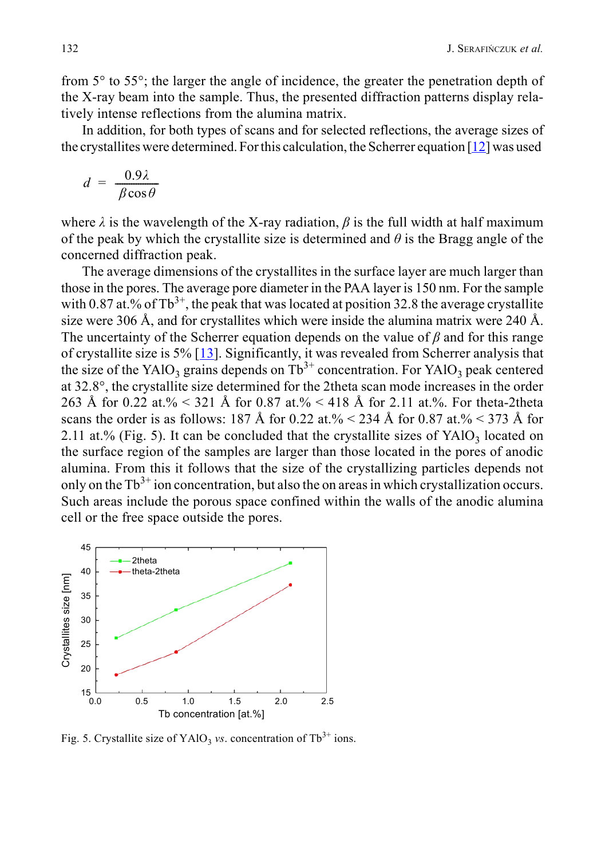from 5° to 55°; the larger the angle of incidence, the greater the penetration depth of the X-ray beam into the sample. Thus, the presented diffraction patterns display relatively intense reflections from the alumina matrix.

In addition, for both types of scans and for selected reflections, the average sizes of the crystallites were determined. For this calculation, the Scherrer equation [[12\]](#page-7-6) was used

$$
d = \frac{0.9\lambda}{\beta \cos \theta}
$$

where  $\lambda$  is the wavelength of the X-ray radiation,  $\beta$  is the full width at half maximum of the peak by which the crystallite size is determined and *θ* is the Bragg angle of the concerned diffraction peak.

The average dimensions of the crystallites in the surface layer are much larger than those in the pores. The average pore diameter in the PAA layer is 150 nm. For the sample with 0.87 at.% of  $Tb^{3+}$ , the peak that was located at position 32.8 the average crystallite size were 306 Å, and for crystallites which were inside the alumina matrix were 240 Å. The uncertainty of the Scherrer equation depends on the value of *β* and for this range of crystallite size is 5% [[13](#page-7-7)]. Significantly, it was revealed from Scherrer analysis that the size of the YAlO<sub>3</sub> grains depends on  $Tb^{3+}$  concentration. For YAlO<sub>3</sub> peak centered at 32.8°, the crystallite size determined for the 2theta scan mode increases in the order 263 Å for 0.22 at.%  $\leq$  321 Å for 0.87 at.%  $\leq$  418 Å for 2.11 at.%. For theta-2theta scans the order is as follows: 187 Å for 0.22 at.%  $< 234$  Å for 0.87 at.%  $< 373$  Å for 2.11 at.% (Fig. 5). It can be concluded that the crystallite sizes of  $YAlO<sub>3</sub>$  located on the surface region of the samples are larger than those located in the pores of anodic alumina. From this it follows that the size of the crystallizing particles depends not only on the  $Tb^{3+}$  ion concentration, but also the on areas in which crystallization occurs. Such areas include the porous space confined within the walls of the anodic alumina cell or the free space outside the pores.



Fig. 5. Crystallite size of YAlO<sub>3</sub> *vs*. concentration of Tb<sup>3+</sup> ions.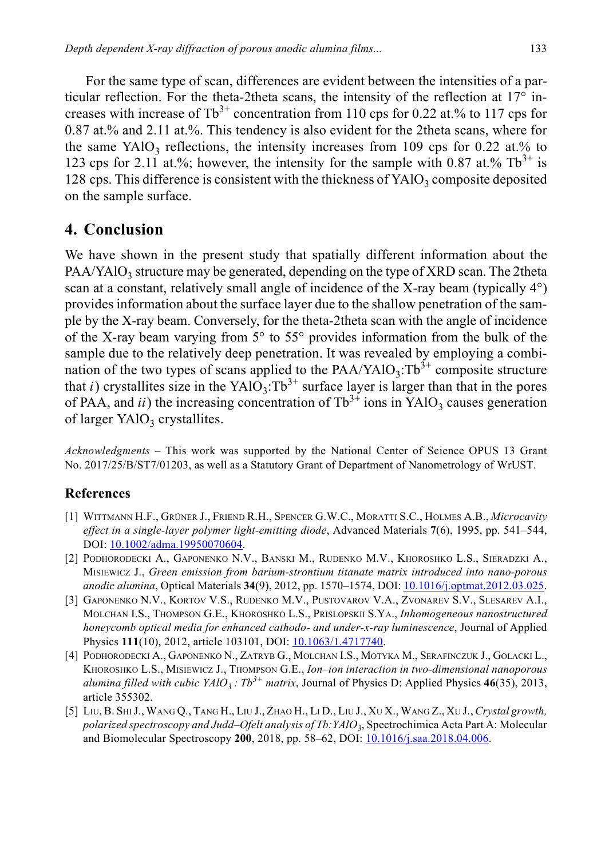For the same type of scan, differences are evident between the intensities of a particular reflection. For the theta-2theta scans, the intensity of the reflection at 17° increases with increase of  $Tb^{3+}$  concentration from 110 cps for 0.22 at.% to 117 cps for 0.87 at.% and 2.11 at.%. This tendency is also evident for the 2theta scans, where for the same YAlO<sub>3</sub> reflections, the intensity increases from 109 cps for 0.22 at.% to 123 cps for 2.11 at.%; however, the intensity for the sample with 0.87 at.%  $Tb^{3+}$  is 128 cps. This difference is consistent with the thickness of  $YAlO<sub>3</sub>$  composite deposited on the sample surface.

## **4. Conclusion**

We have shown in the present study that spatially different information about the  $PAA/YAIO<sub>3</sub>$  structure may be generated, depending on the type of XRD scan. The 2theta scan at a constant, relatively small angle of incidence of the X-ray beam (typically  $4^{\circ}$ ) provides information about the surface layer due to the shallow penetration of the sample by the X-ray beam. Conversely, for the theta-2theta scan with the angle of incidence of the X-ray beam varying from 5° to 55° provides information from the bulk of the sample due to the relatively deep penetration. It was revealed by employing a combination of the two types of scans applied to the  $PAA/YAIO_3: Tb^{3+}$  composite structure that *i*) crystallites size in the YAlO<sub>3</sub>:Tb<sup>3+</sup> surface layer is larger than that in the pores of PAA, and *ii*) the increasing concentration of  $Tb^{3+}$  ions in YAlO<sub>3</sub> causes generation of larger  $YAlO<sub>3</sub>$  crystallites.

*Acknowledgments* – This work was supported by the National Center of Science OPUS 13 Grant No. 2017/25/B/ST7/01203, as well as a Statutory Grant of Department of Nanometrology of WrUST.

#### **References**

- <span id="page-6-0"></span>[1] WITTMANN H.F., GRÜNER J., FRIEND R.H., SPENCER G.W.C., MORATTI S.C., HOLMES A.B., *Microcavity effect in a single-layer polymer light-emitting diode*, Advanced Materials **7**(6), 1995, pp. 541–544, DOI: [10.1002/adma.19950070604.](https://doi.org/10.1002/adma.19950070604)
- <span id="page-6-1"></span>[2] PODHORODECKI A., GAPONENKO N.V., BANSKI M., RUDENKO M.V., KHOROSHKO L.S., SIERADZKI A., MISIEWICZ J., *Green emission from barium-strontium titanate matrix introduced into nano-porous anodic alumina*, Optical Materials **34**(9), 2012, pp. 1570–1574, DOI: [10.1016/j.optmat.2012.03.025.](https://doi.org/10.1016/j.optmat.2012.03.025)
- <span id="page-6-2"></span>[3] GAPONENKO N.V., KORTOV V.S., RUDENKO M.V., PUSTOVAROV V.A., ZVONAREV S.V., SLESAREV A.I., MOLCHAN I.S., THOMPSON G.E., KHOROSHKO L.S., PRISLOPSKII S.YA., *Inhomogeneous nanostructured honeycomb optical media for enhanced cathodo- and under-x-ray luminescence*, Journal of Applied Physics **111**(10), 2012, article 103101, DOI: **10.1063/1.4717740**.
- <span id="page-6-3"></span>[4] PODHORODECKI A., GAPONENKO N., ZATRYB G., MOLCHAN I.S., MOTYKA M., SERAFINCZUK J., GOLACKI L., KHOROSHKO L.S., MISIEWICZ J., THOMPSON G.E., *Ion–ion interaction in two-dimensional nanoporous alumina filled with cubic YAlO<sub>3</sub> :*  $Tb^{3+}$  *matrix*, Journal of Physics D: Applied Physics 46(35), 2013, article 355302.
- <span id="page-6-4"></span>[5] LIU, B. SHI J., WANG Q., TANG H., LIU J., ZHAO H., LI D., LIU J., XU X., WANG Z., XU J., *Crystal growth, polarized spectroscopy and Judd–Ofelt analysis of Tb:YAlO3*, Spectrochimica Acta Part A: Molecular and Biomolecular Spectroscopy **200**, 2018, pp. 58–62, DOI: [10.1016/j.saa.2018.04.006.](https://doi.org/10.1016/j.saa.2018.04.006)